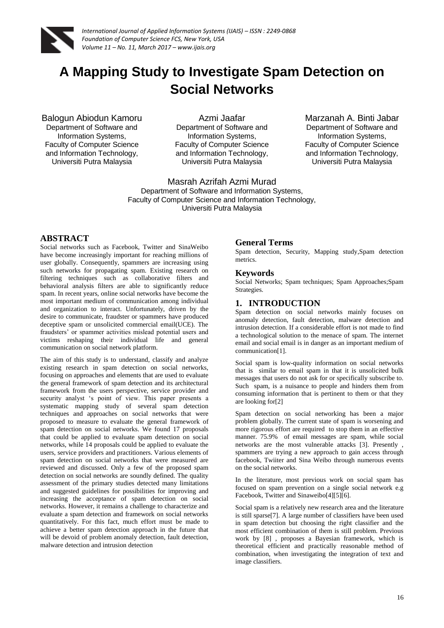

# **A Mapping Study to Investigate Spam Detection on Social Networks**

Balogun Abiodun Kamoru Department of Software and Information Systems, Faculty of Computer Science and Information Technology, Universiti Putra Malaysia

Azmi Jaafar Department of Software and Information Systems, Faculty of Computer Science and Information Technology, Universiti Putra Malaysia

Marzanah A. Binti Jabar Department of Software and Information Systems, Faculty of Computer Science and Information Technology, Universiti Putra Malaysia

Masrah Azrifah Azmi Murad Department of Software and Information Systems, Faculty of Computer Science and Information Technology, Universiti Putra Malaysia

# **ABSTRACT**

Social networks such as Facebook, Twitter and SinaWeibo have become increasingly important for reaching millions of user globally. Consequently, spammers are increasing using such networks for propagating spam. Existing research on filtering techniques such as collaborative filters and behavioral analysis filters are able to significantly reduce spam. In recent years, online social networks have become the most important medium of communication among individual and organization to interact. Unfortunately, driven by the desire to communicate, fraudster or spammers have produced deceptive spam or unsolicited commercial email(UCE). The fraudsters' or spammer activities mislead potential users and victims reshaping their individual life and general communication on social network platform.

The aim of this study is to understand, classify and analyze existing research in spam detection on social networks, focusing on approaches and elements that are used to evaluate the general framework of spam detection and its architectural framework from the users perspective, service provider and security analyst 's point of view. This paper presents a systematic mapping study of several spam detection techniques and approaches on social networks that were proposed to measure to evaluate the general framework of spam detection on social networks. We found 17 proposals that could be applied to evaluate spam detection on social networks, while 14 proposals could be applied to evaluate the users, service providers and practitioners. Various elements of spam detection on social networks that were measured are reviewed and discussed. Only a few of the proposed spam detection on social networks are soundly defined. The quality assessment of the primary studies detected many limitations and suggested guidelines for possibilities for improving and increasing the acceptance of spam detection on social networks. However, it remains a challenge to characterize and evaluate a spam detection and framework on social networks quantitatively. For this fact, much effort must be made to achieve a better spam detection approach in the future that will be devoid of problem anomaly detection, fault detection, malware detection and intrusion detection

# **General Terms**

Spam detection, Security, Mapping study,Spam detection metrics.

#### **Keywords**

Social Networks; Spam techniques; Spam Approaches;Spam Strategies.

#### **1. INTRODUCTION**

Spam detection on social networks mainly focuses on anomaly detection, fault detection, malware detection and intrusion detection. If a considerable effort is not made to find a technological solution to the menace of spam. The internet email and social email is in danger as an important medium of communication[1].

Social spam is low-quality information on social networks that is similar to email spam in that it is unsolicited bulk messages that users do not ask for or specifically subscribe to. Such spam, is a nuisance to people and hinders them from consuming information that is pertinent to them or that they are looking for[2]

Spam detection on social networking has been a major problem globally. The current state of spam is worsening and more rigorous effort are required to stop them in an effective manner. 75.9% of email messages are spam, while social networks are the most vulnerable attacks [3]. Presently , spammers are trying a new approach to gain access through facebook, Twiiter and Sina Weibo through numerous events on the social networks.

In the literature, most previous work on social spam has focused on spam prevention on a single social network e.g Facebook, Twitter and Sinaweibo<sup>[4][5][6].</sup>

Social spam is a relatively new research area and the literature is still sparse[7]. A large number of classifiers have been used in spam detection but choosing the right classifier and the most efficient combination of them is still problem. Previous work by [8] , proposes a Bayesian framework, which is theoretical efficient and practically reasonable method of combination, when investigating the integration of text and image classifiers.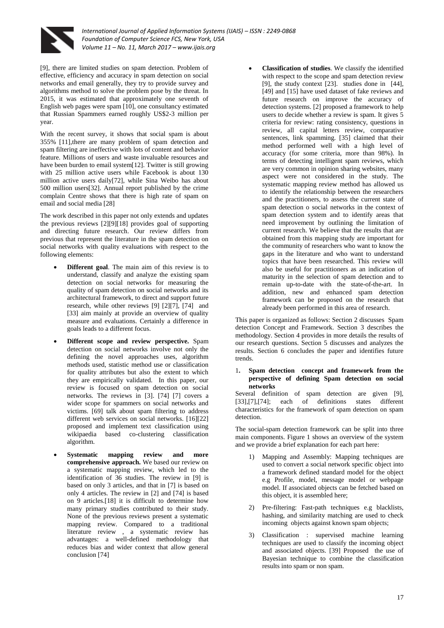

[9], there are limited studies on spam detection. Problem of effective, efficiency and accuracy in spam detection on social networks and email generally, they try to provide survey and algorithms method to solve the problem pose by the threat. In 2015, it was estimated that approximately one seventh of English web pages were spam [10], one consultancy estimated that Russian Spammers earned roughly US\$2-3 million per year.

With the recent survey, it shows that social spam is about 355% [11],there are many problem of spam detection and spam filtering are ineffective with lots of content and behavior feature. Millions of users and waste invaluable resources and have been burden to email system[12]. Twitter is still growing with 25 million active users while Facebook is about 130 million active users daily[72], while Sina Weibo has about 500 million users[32]. Annual report published by the crime complain Centre shows that there is high rate of spam on email and social media [28]

The work described in this paper not only extends and updates the previous reviews [2][9][18] provides goal of supporting and directing future research. Our review differs from previous that represent the literature in the spam detection on social networks with quality evaluations with respect to the following elements:

- **Different goal**. The main aim of this review is to understand, classify and analyze the existing spam detection on social networks for measuring the quality of spam detection on social networks and its architectural framework, to direct and support future research, while other reviews [9] [2][7], [74] and [33] aim mainly at provide an overview of quality measure and evaluations. Certainly a difference in goals leads to a different focus.
- **Different scope and review perspective.** Spam detection on social networks involve not only the defining the novel approaches uses, algorithm methods used, statistic method use or classification for quality attributes but also the extent to which they are empirically validated. In this paper, our review is focused on spam detection on social networks. The reviews in [3]. [74] [7] covers a wider scope for spammers on social networks and victims. [69] talk about spam filtering to address different web services on social networks. [16][22] proposed and implement text classification using wikipaedia based co-clustering classification algorithm.
- **Systematic mapping review and more comprehensive approach.** We based our review on a systematic mapping review, which led to the identification of 36 studies. The review in [9] is based on only 3 articles, and that in [7] is based on only 4 articles. The review in [2] and [74] is based on 9 articles.[18] it is difficult to determine how many primary studies contributed to their study. None of the previous reviews present a systematic mapping review. Compared to a traditional literature review , a systematic review has advantages: a well-defined methodology that reduces bias and wider context that allow general conclusion [74]

 **Classification of studies**. We classify the identified with respect to the scope and spam detection review [9], the study context [23]. studies done in [44], [49] and [15] have used dataset of fake reviews and future research on improve the accuracy of detection systems. [2] proposed a framework to help users to decide whether a review is spam. It gives 5 criteria for review: rating consistency, questions in review, all capital letters review, comparative sentences, link spamming. [35] claimed that their method performed well with a high level of accuracy (for some criteria, more than 98%). In terms of detecting intelligent spam reviews, which are very common in opinion sharing websites, many aspect were not considered in the study. The systematic mapping review method has allowed us to identify the relationship between the researchers and the practitioners, to assess the current state of spam detection o social networks in the context of spam detection system and to identify areas that need improvement by outlining the limitation of current research. We believe that the results that are obtained from this mapping study are important for the community of researchers who want to know the gaps in the literature and who want to understand topics that have been researched. This review will also be useful for practitioners as an indication of maturity in the selection of spam detection and to remain up-to-date with the state-of-the-art. In addition, new and enhanced spam detection framework can be proposed on the research that already been performed in this area of research.

This paper is organized as follows: Section 2 discusses Spam detection Concept and Framework. Section 3 describes the methodology. Section 4 provides in more details the results of our research questions. Section 5 discusses and analyzes the results. Section 6 concludes the paper and identifies future trends.

#### 1**. Spam detection concept and framework from the perspective of defining Spam detection on social networks**

Several definition of spam detection are given [9], [33],[7],[74]; each of definitions states different characteristics for the framework of spam detection on spam detection.

The social-spam detection framework can be split into three main components. Figure 1 shows an overview of the system and we provide a brief explanation for each part here:

- 1) Mapping and Assembly: Mapping techniques are used to convert a social network specific object into a framework defined standard model for the object e.g Profile, model, message model or webpage model. If associated objects can be fetched based on this object, it is assembled here;
- 2) Pre-filtering: Fast-path techniques e.g blacklists, hashing, and similarity matching are used to check incoming objects against known spam objects;
- 3) Classification : supervised machine learning techniques are used to classify the incoming object and associated objects. [39] Proposed the use of Bayesian technique to combine the classification results into spam or non spam.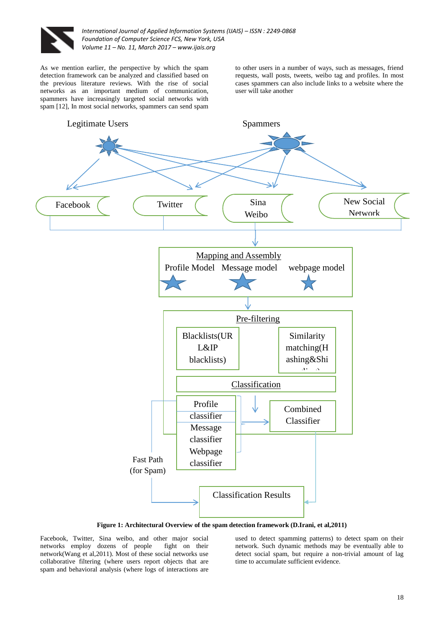

As we mention earlier, the perspective by which the spam detection framework can be analyzed and classified based on the previous literature reviews. With the rise of social networks as an important medium of communication, spammers have increasingly targeted social networks with spam [12], In most social networks, spammers can send spam

to other users in a number of ways, such as messages, friend requests, wall posts, tweets, weibo tag and profiles. In most cases spammers can also include links to a website where the user will take another



**Figure 1: Architectural Overview of the spam detection framework (D.Irani, et al,2011)**

Facebook, Twitter, Sina weibo, and other major social networks employ dozens of people fight on their network(Wang et al,2011). Most of these social networks use collaborative filtering (where users report objects that are spam and behavioral analysis (where logs of interactions are

used to detect spamming patterns) to detect spam on their network. Such dynamic methods may be eventually able to detect social spam, but require a non-trivial amount of lag time to accumulate sufficient evidence.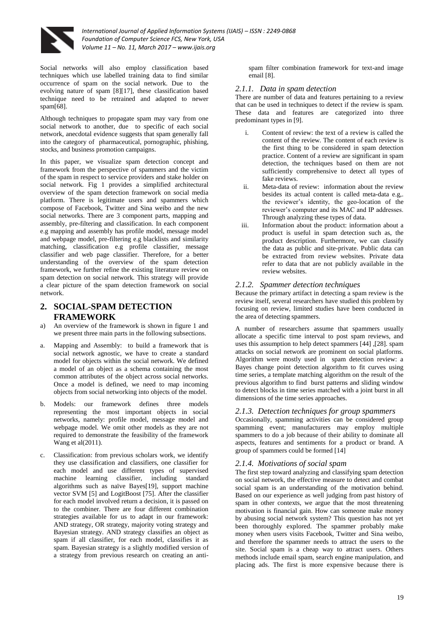

Social networks will also employ classification based techniques which use labelled training data to find similar occurrence of spam on the social network. Due to the evolving nature of spam [8][17], these classification based technique need to be retrained and adapted to newer spam[68].

Although techniques to propagate spam may vary from one social network to another, due to specific of each social network, anecdotal evidence suggests that spam generally fall into the category of pharmaceutical, pornographic, phishing, stocks, and business promotion campaigns.

In this paper, we visualize spam detection concept and framework from the perspective of spammers and the victim of the spam in respect to service providers and stake holder on social network. Fig 1 provides a simplified architectural overview of the spam detection framework on social media platform. There is legitimate users and spammers which compose of Facebook, Twitter and Sina weibo and the new social networks. There are 3 component parts, mapping and assembly, pre-filtering and classification. In each component e.g mapping and assembly has profile model, message model and webpage model, pre-filtering e.g blacklists and similarity matching, classification e.g profile classifier, message classifier and web page classifier. Therefore, for a better understanding of the overview of the spam detection framework, we further refine the existing literature review on spam detection on social network. This strategy will provide a clear picture of the spam detection framework on social network.

# **2. SOCIAL-SPAM DETECTION FRAMEWORK**

- a) An overview of the framework is shown in figure 1 and we present three main parts in the following subsections.
- a. Mapping and Assembly: to build a framework that is social network agnostic, we have to create a standard model for objects within the social network. We defined a model of an object as a schema containing the most common attributes of the object across social networks. Once a model is defined, we need to map incoming objects from social networking into objects of the model.
- b. Models: our framework defines three models representing the most important objects in social networks, namely: profile model, message model and webpage model. We omit other models as they are not required to demonstrate the feasibility of the framework Wang et al(2011).
- c. Classification: from previous scholars work, we identify they use classification and classifiers, one classifier for each model and use different types of supervised machine learning classifier, including standard algorithms such as naïve Bayes[19], support machine vector SVM [5] and LogitBoost [75]. After the classifier for each model involved return a decision, it is passed on to the combiner. There are four different combination strategies available for us to adapt in our framework: AND strategy, OR strategy, majority voting strategy and Bayesian strategy. AND strategy classifies an object as spam if all classifier, for each model, classifies it as spam. Bayesian strategy is a slightly modified version of a strategy from previous research on creating an anti-

spam filter combination framework for text-and image email [8].

#### *2.1.1. Data in spam detection*

There are number of data and features pertaining to a review that can be used in techniques to detect if the review is spam. These data and features are categorized into three predominant types in [9].

- i. Content of review: the text of a review is called the content of the review. The content of each review is the first thing to be considered in spam detection practice. Content of a review are significant in spam detection, the techniques based on them are not sufficiently comprehensive to detect all types of fake reviews.
- ii. Meta-data of review: information about the review besides its actual content is called meta-data e.g,. the reviewer's identity, the geo-location of the reviewer's computer and its MAC and IP addresses. Through analyzing these types of data.
- iii. Information about the product: information about a product is useful in spam detection such as, the product description. Furthermore, we can classify the data as public and site-private. Public data can be extracted from review websites. Private data refer to data that are not publicly available in the review websites.

### *2.1.2. Spammer detection techniques*

Because the primary artifact in detecting a spam review is the review itself, several researchers have studied this problem by focusing on review, limited studies have been conducted in the area of detecting spammers.

A number of researchers assume that spammers usually allocate a specific time interval to post spam reviews, and uses this assumption to help detect spammers [44] ,[28]. spam attacks on social network are prominent on social platforms. Algorithm were mostly used in spam detection review: a Bayes change point detection algorithm to fit curves using time series, a template matching algorithm on the result of the previous algorithm to find burst patterns and sliding window to detect blocks in time series matched with a joint burst in all dimensions of the time series approaches.

#### *2.1.3. Detection techniques for group spammers*

Occasionally, spamming activities can be considered group spamming event; manufacturers may employ multiple spammers to do a job because of their ability to dominate all aspects, features and sentiments for a product or brand. A group of spammers could be formed [14]

# *2.1.4. Motivations of social spam*

The first step toward analyzing and classifying spam detection on social network, the effective measure to detect and combat social spam is an understanding of the motivation behind. Based on our experience as well judging from past history of spam in other contexts, we argue that the most threatening motivation is financial gain. How can someone make money by abusing social network system? This question has not yet been thoroughly explored. The spammer probably make money when users visits Facebook, Twitter and Sina weibo, and therefore the spammer needs to attract the users to the site. Social spam is a cheap way to attract users. Others methods include email spam, search engine manipulation, and placing ads. The first is more expensive because there is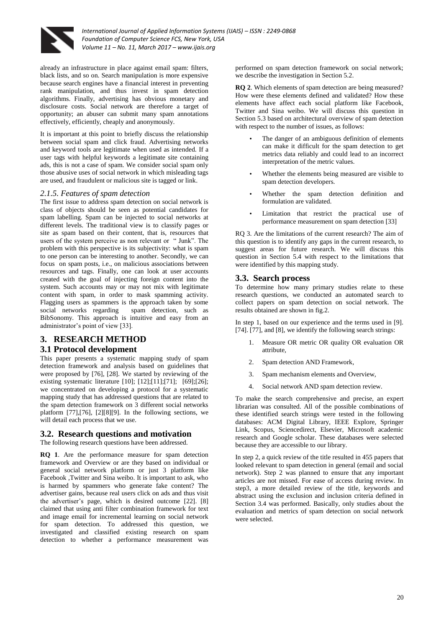

already an infrastructure in place against email spam: filters, black lists, and so on. Search manipulation is more expensive because search engines have a financial interest in preventing rank manipulation, and thus invest in spam detection algorithms. Finally, advertising has obvious monetary and disclosure costs. Social network are therefore a target of opportunity; an abuser can submit many spam annotations effectively, efficiently, cheaply and anonymously.

It is important at this point to briefly discuss the relationship between social spam and click fraud. Advertising networks and keyword tools are legitimate when used as intended. If a user tags with helpful keywords a legitimate site containing ads, this is not a case of spam. We consider social spam only those abusive uses of social network in which misleading tags are used, and fraudulent or malicious site is tagged or link.

#### *2.1.5. Features of spam detection*

The first issue to address spam detection on social network is class of objects should be seen as potential candidates for spam labelling. Spam can be injected to social networks at different levels. The traditional view is to classify pages or site as spam based on their content, that is, resources that users of the system perceive as non relevant or " Junk". The problem with this perspective is its subjectivity: what is spam to one person can be interesting to another. Secondly, we can focus on spam posts, i.e., on malicious associations between resources and tags. Finally, one can look at user accounts created with the goal of injecting foreign content into the system. Such accounts may or may not mix with legitimate content with spam, in order to mask spamming activity. Flagging users as spammers is the approach taken by some social networks regarding spam detection, such as BibSonomy. This approach is intuitive and easy from an administrator's point of view [33].

# **3. RESEARCH METHOD**

# **3.1 Protocol development**

This paper presents a systematic mapping study of spam detection framework and analysis based on guidelines that were proposed by [76], [28]. We started by reviewing of the existing systematic literature [10]; [12];[11];[71]; [69];[26]; we concentrated on developing a protocol for a systematic mapping study that has addressed questions that are related to the spam detection framework on 3 different social networks platform [77],[76], [2][8][9]. In the following sections, we will detail each process that we use.

#### **3.2. Research questions and motivation**

The following research questions have been addressed.

**RQ 1**. Are the performance measure for spam detection framework and Overview or are they based on individual or general social network platform or just 3 platform like Facebook ,Twitter and Sina weibo. It is important to ask, who is harmed by spammers who generate fake content? The advertiser gains, because real users click on ads and thus visit the advertiser's page, which is desired outcome [22]. [8] claimed that using anti filter combination framework for text and image email for incremental learning on social network for spam detection. To addressed this question, we investigated and classified existing research on spam detection to whether a performance measurement was

performed on spam detection framework on social network; we describe the investigation in Section 5.2.

**RQ 2**. Which elements of spam detection are being measured? How were these elements defined and validated? How these elements have affect each social platform like Facebook, Twitter and Sina weibo. We will discuss this question in Section 5.3 based on architectural overview of spam detection with respect to the number of issues, as follows:

- The danger of an ambiguous definition of elements can make it difficult for the spam detection to get metrics data reliably and could lead to an incorrect interpretation of the metric values.
- Whether the elements being measured are visible to spam detection developers.
- Whether the spam detection definition and formulation are validated.
- Limitation that restrict the practical use of performance measurement on spam detection [33]

RQ 3. Are the limitations of the current research? The aim of this question is to identify any gaps in the current research, to suggest areas for future research. We will discuss this question in Section 5.4 with respect to the limitations that were identified by this mapping study.

#### **3.3. Search process**

To determine how many primary studies relate to these research questions, we conducted an automated search to collect papers on spam detection on social network. The results obtained are shown in fig.2.

In step 1, based on our experience and the terms used in [9]. [74]. [77], and [8], we identify the following search strings:

- Measure OR metric OR quality OR evaluation OR attribute,
- 2. Spam detection AND Framework,
- 3. Spam mechanism elements and Overview,
- 4. Social network AND spam detection review.

To make the search comprehensive and precise, an expert librarian was consulted. All of the possible combinations of these identified search strings were tested in the following databases: ACM Digital Library, IEEE Explore, Springer Link, Scopus, Sciencedirect, Elsevier, Microsoft academic research and Google scholar. These databases were selected because they are accessible to our library.

In step 2, a quick review of the title resulted in 455 papers that looked relevant to spam detection in general (email and social network). Step 2 was planned to ensure that any important articles are not missed. For ease of access during review. In step3, a more detailed review of the title, keywords and abstract using the exclusion and inclusion criteria defined in Section 3.4 was performed. Basically, only studies about the evaluation and metrics of spam detection on social network were selected.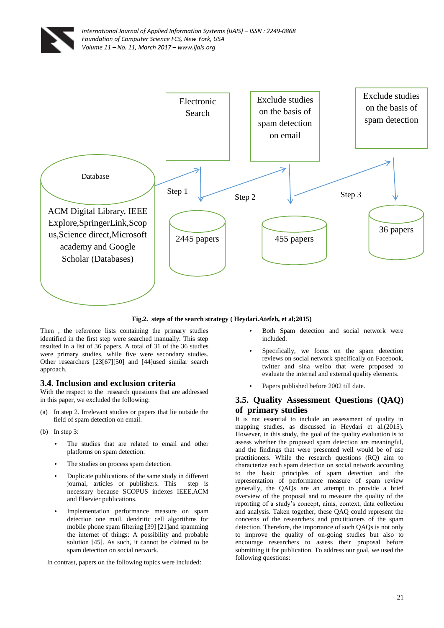



#### **Fig.2. steps of the search strategy ( Heydari.Atefeh, et al;2015)**

Then , the reference lists containing the primary studies identified in the first step were searched manually. This step resulted in a list of 36 papers. A total of 31 of the 36 studies were primary studies, while five were secondary studies. Other researchers [23[67][50] and [44]used similar search approach.

#### **3.4. Inclusion and exclusion criteria**

With the respect to the research questions that are addressed in this paper, we excluded the following:

- (a) In step 2. Irrelevant studies or papers that lie outside the field of spam detection on email.
- (b) In step 3:
	- The studies that are related to email and other platforms on spam detection.
	- The studies on process spam detection.
	- Duplicate publications of the same study in different journal, articles or publishers. This step is necessary because SCOPUS indexes IEEE,ACM and Elsevier publications.
	- Implementation performance measure on spam detection one mail. dendritic cell algorithms for mobile phone spam filtering [39] [21]and spamming the internet of things: A possibility and probable solution [45]. As such, it cannot be claimed to be spam detection on social network.

In contrast, papers on the following topics were included:

- Both Spam detection and social network were included.
- Specifically, we focus on the spam detection reviews on social network specifically on Facebook, twitter and sina weibo that were proposed to evaluate the internal and external quality elements.
- Papers published before 2002 till date.

# **3.5. Quality Assessment Questions (QAQ) of primary studies**

It is not essential to include an assessment of quality in mapping studies, as discussed in Heydari et al.(2015). However, in this study, the goal of the quality evaluation is to assess whether the proposed spam detection are meaningful, and the findings that were presented well would be of use practitioners. While the research questions (RQ) aim to characterize each spam detection on social network according to the basic principles of spam detection and the representation of performance measure of spam review generally, the QAQs are an attempt to provide a brief overview of the proposal and to measure the quality of the reporting of a study's concept, aims, context, data collection and analysis. Taken together, these QAQ could represent the concerns of the researchers and practitioners of the spam detection. Therefore, the importance of such QAQs is not only to improve the quality of on-going studies but also to encourage researchers to assess their proposal before submitting it for publication. To address our goal, we used the following questions: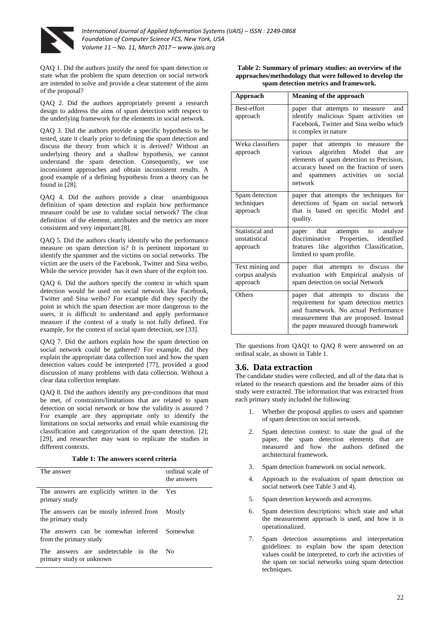

QAQ 1. Did the authors justify the need for spam detection or state what the problem the spam detection on social network are intended to solve and provide a clear statement of the aims of the proposal?

QAQ 2. Did the authors appropriately present a research design to address the aims of spam detection with respect to the underlying framework for the elements in social network.

QAQ 3. Did the authors provide a specific hypothesis to be tested, state it clearly prior to defining the spam detection and discuss the theory from which it is derived? Without an underlying theory and a shallow hypothesis, we cannot understand the spam detection. Consequently, we use inconsistent approaches and obtain inconsistent results. A good example of a defining hypothesis from a theory can be found in [28].

QAQ 4. Did the authors provide a clear unambiguous definition of spam detection and explain how performance measure could be use to validate social network? The clear definition of the element, attributes and the metrics are more consistent and very important [8].

QAQ 5. Did the authors clearly identify who the performance measure on spam detection is? It is pertinent important to identify the spammer and the victims on social networks. The victim are the users of the Facebook, Twitter and Sina weibo. While the service provider has it own share of the exploit too.

QAQ 6. Did the authors specify the context in which spam detection would be used on social network like Facebook. Twitter and Sina weibo? For example did they specify the point in which the spam detection are more dangerous to the users, it is difficult to understand and apply performance measure if the context of a study is not fully defined. For example, for the context of social spam detection, see [33].

QAQ 7. Did the authors explain how the spam detection on social network could be gathered? For example, did they explain the appropriate data collection tool and how the spam detection values could be interpreted [77], provided a good discussion of many problems with data collection. Without a clear data collection template.

QAQ 8. Did the authors identify any pre-conditions that must be met, of constraints/limitations that are related to spam detection on social network or how the validity is assured ? For example are they appropriate only to identify the limitations on social networks and email while examining the classification and categorization of the spam detection. [2]; [29], and researcher may want to replicate the studies in different contexts.

**Table 1: The answers scored criteria**

| The answer                                                              | ordinal scale of<br>the answers |
|-------------------------------------------------------------------------|---------------------------------|
| The answers are explicitly written in the Yes<br>primary study          |                                 |
| The answers can be mostly inferred from Mostly<br>the primary study     |                                 |
| The answers can be somewhat inferred Somewhat<br>from the primary study |                                 |
| The answers are undetectable in the<br>primary study or unknown         | - No                            |

**Table 2: Summary of primary studies: an overview of the approaches/methodology that were followed to develop the spam detection metrics and framework.**

| Approach                                       | Meaning of the approach                                                                                                                                                                                                                  |
|------------------------------------------------|------------------------------------------------------------------------------------------------------------------------------------------------------------------------------------------------------------------------------------------|
| Best-effort<br>approach                        | paper that attempts to measure<br>and<br>identify malicious Spam activities on<br>Facebook, Twitter and Sina weibo which<br>is complex in nature                                                                                         |
| Weka classifiers<br>approach                   | paper that attempts to<br>the<br>measure<br>algorithm Model<br>various<br>that<br>are<br>elements of spam detection to Precision,<br>accuracy based on the fraction of users<br>and<br>activities<br>spammers<br>social<br>on<br>network |
| Spam detection<br>techniques<br>approach       | paper that attempts the techniques for<br>detections of Spam on social network<br>that is based on specific Model and<br>quality.                                                                                                        |
| Statistical and<br>unstatistical<br>approach   | paper that attempts<br>analyze<br>to<br>discriminative Properties,<br>identified<br>features like algorithm Classification,<br>limited to spam profile.                                                                                  |
| Text mining and<br>corpus analysis<br>approach | the<br>paper that attempts to discuss<br>evaluation with Empirical analysis of<br>spam detection on social Network                                                                                                                       |
| Others                                         | discuss<br>paper that attempts to<br>the<br>requirement for spam detection metrics<br>and framework. No actual Performance<br>measurement that are proposed. Instead<br>the paper measured through framework                             |

The questions from QAQ1 to QAQ 8 were answered on an ordinal scale, as shown in Table 1.

#### **3.6. Data extraction**

The candidate studies were collected, and all of the data that is related to the research questions and the broader aims of this study were extracted. The information that was extracted from each primary study included the following:

- 1. Whether the proposal applies to users and spammer of spam detection on social network.
- 2. Spam detection context: to state the goal of the paper, the spam detection elements that are measured and how the authors defined the architectural framework.
- 3. Spam detection framework on social network.
- 4. Approach to the evaluation of spam detection on social network (see Table 3 and 4).
- 5. Spam detection keywords and acronyms.
- 6. Spam detection descriptions: which state and what the measurement approach is used, and how it is operationalized.
- 7. Spam detection assumptions and interpretation guidelines: to explain how the spam detection values could be interpreted, to curb the activities of the spam on social networks using spam detection techniques.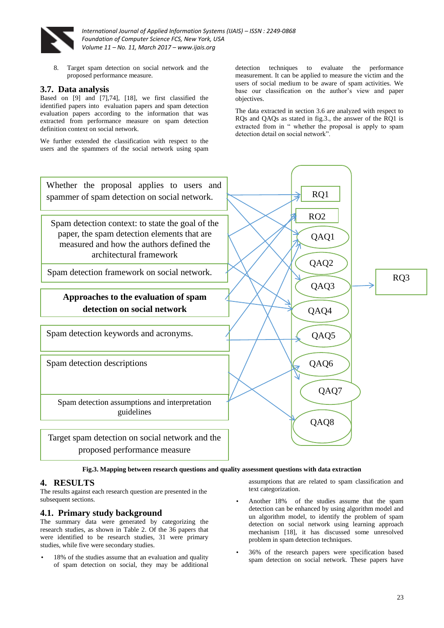

8. Target spam detection on social network and the proposed performance measure.

## **3.7. Data analysis**

Based on [9] and [7],74], [18], we first classified the identified papers into evaluation papers and spam detection evaluation papers according to the information that was extracted from performance measure on spam detection definition context on social network.

We further extended the classification with respect to the users and the spammers of the social network using spam detection techniques to evaluate the performance measurement. It can be applied to measure the victim and the users of social medium to be aware of spam activities. We base our classification on the author's view and paper objectives.

The data extracted in section 3.6 are analyzed with respect to RQs and QAQs as stated in fig.3., the answer of the RQ1 is extracted from in " whether the proposal is apply to spam detection detail on social network".



**Fig.3. Mapping between research questions and quality assessment questions with data extraction**

#### **4. RESULTS**

The results against each research question are presented in the subsequent sections.

#### **4.1. Primary study background**

The summary data were generated by categorizing the research studies, as shown in Table 2. Of the 36 papers that were identified to be research studies, 31 were primary studies, while five were secondary studies.

18% of the studies assume that an evaluation and quality of spam detection on social, they may be additional assumptions that are related to spam classification and text categorization.

- Another 18% of the studies assume that the spam detection can be enhanced by using algorithm model and un algorithm model, to identify the problem of spam detection on social network using learning approach mechanism [18], it has discussed some unresolved problem in spam detection techniques.
- 36% of the research papers were specification based spam detection on social network. These papers have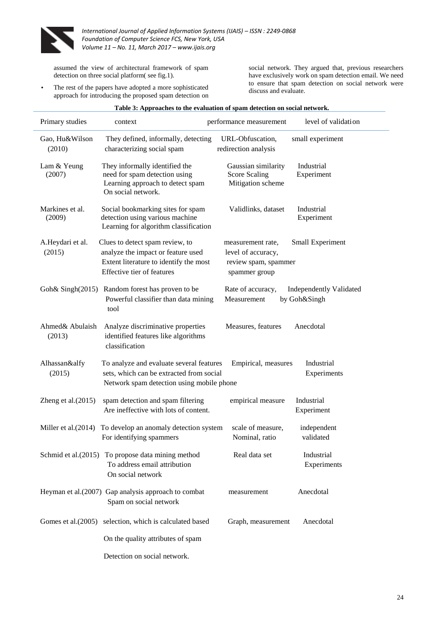

assumed the view of architectural framework of spam detection on three social platform( see fig.1).

The rest of the papers have adopted a more sophisticated approach for introducing the proposed spam detection on social network. They argued that, previous researchers have exclusively work on spam detection email. We need to ensure that spam detection on social network were discuss and evaluate.

| Primary studies            | context                                                                                                                                       | performance measurement                                                          | level of validation                            |
|----------------------------|-----------------------------------------------------------------------------------------------------------------------------------------------|----------------------------------------------------------------------------------|------------------------------------------------|
| Gao, Hu&Wilson<br>(2010)   | They defined, informally, detecting<br>characterizing social spam                                                                             | URL-Obfuscation,<br>redirection analysis                                         | small experiment                               |
| Lam & Yeung<br>(2007)      | They informally identified the<br>need for spam detection using<br>Learning approach to detect spam<br>On social network.                     | Gaussian similarity<br><b>Score Scaling</b><br>Mitigation scheme                 | Industrial<br>Experiment                       |
| Markines et al.<br>(2009)  | Social bookmarking sites for spam<br>detection using various machine<br>Learning for algorithm classification                                 | Validlinks, dataset                                                              | Industrial<br>Experiment                       |
| A.Heydari et al.<br>(2015) | Clues to detect spam review, to<br>analyze the impact or feature used<br>Extent literature to identify the most<br>Effective tier of features | measurement rate,<br>level of accuracy,<br>review spam, spammer<br>spammer group | Small Experiment                               |
|                            | Goh& Singh(2015) Random forest has proven to be<br>Powerful classifier than data mining<br>tool                                               | Rate of accuracy,<br>Measurement                                                 | <b>Independently Validated</b><br>by Goh&Singh |
| Ahmed& Abulaish<br>(2013)  | Analyze discriminative properties<br>identified features like algorithms<br>classification                                                    | Measures, features                                                               | Anecdotal                                      |
| Alhassan&alfy<br>(2015)    | To analyze and evaluate several features<br>sets, which can be extracted from social<br>Network spam detection using mobile phone             | Empirical, measures                                                              | Industrial<br>Experiments                      |
| Zheng et al. $(2015)$      | spam detection and spam filtering<br>Are ineffective with lots of content.                                                                    | empirical measure                                                                | Industrial<br>Experiment                       |
| Miller et al. (2014)       | To develop an anomaly detection system<br>For identifying spammers                                                                            | scale of measure,<br>Nominal, ratio                                              | independent<br>validated                       |
|                            | Schmid et al.(2015) To propose data mining method<br>To address email attribution<br>On social network                                        | Real data set                                                                    | Industrial<br>Experiments                      |
|                            | Heyman et al.(2007) Gap analysis approach to combat<br>Spam on social network                                                                 | measurement                                                                      | Anecdotal                                      |
| Gomes et al. (2005)        | selection, which is calculated based                                                                                                          | Graph, measurement                                                               | Anecdotal                                      |
|                            | On the quality attributes of spam                                                                                                             |                                                                                  |                                                |
|                            | Detection on social network.                                                                                                                  |                                                                                  |                                                |

#### **Table 3: Approaches to the evaluation of spam detection on social network.**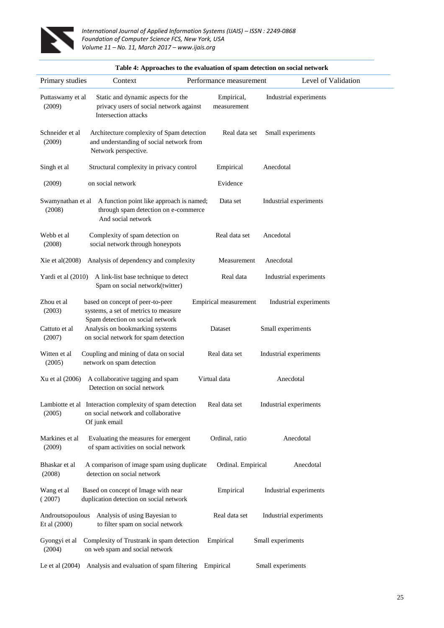

|                                  | Table 4: Approaches to the evaluation of spam detection on social network                                        |                           |                        |  |  |  |  |  |  |
|----------------------------------|------------------------------------------------------------------------------------------------------------------|---------------------------|------------------------|--|--|--|--|--|--|
| Primary studies                  | Context                                                                                                          | Performance measurement   | Level of Validation    |  |  |  |  |  |  |
| Puttaswamy et al<br>(2009)       | Static and dynamic aspects for the<br>privacy users of social network against<br>Intersection attacks            | Empirical,<br>measurement | Industrial experiments |  |  |  |  |  |  |
| Schneider et al<br>(2009)        | Architecture complexity of Spam detection<br>and understanding of social network from<br>Network perspective.    | Real data set             | Small experiments      |  |  |  |  |  |  |
| Singh et al                      | Structural complexity in privacy control                                                                         | Empirical                 | Anecdotal              |  |  |  |  |  |  |
| (2009)                           | on social network                                                                                                | Evidence                  |                        |  |  |  |  |  |  |
| Swamynathan et al<br>(2008)      | A function point like approach is named;<br>through spam detection on e-commerce<br>And social network           | Data set                  | Industrial experiments |  |  |  |  |  |  |
| Webb et al<br>(2008)             | Complexity of spam detection on<br>social network through honeypots                                              | Real data set             | Ancedotal              |  |  |  |  |  |  |
| Xie et al(2008)                  | Analysis of dependency and complexity                                                                            | Measurement               | Anecdotal              |  |  |  |  |  |  |
| Yardi et al (2010)               | A link-list base technique to detect<br>Spam on social network(twitter)                                          | Real data                 | Industrial experiments |  |  |  |  |  |  |
| Zhou et al<br>(2003)             | based on concept of peer-to-peer<br>systems, a set of metrics to measure<br>Spam detection on social network     | Empirical measurement     | Industrial experiments |  |  |  |  |  |  |
| Cattuto et al<br>(2007)          | Analysis on bookmarking systems<br>on social network for spam detection                                          | Dataset                   | Small experiments      |  |  |  |  |  |  |
| Witten et al<br>(2005)           | Coupling and mining of data on social<br>network on spam detection                                               | Real data set             | Industrial experiments |  |  |  |  |  |  |
| Xu et al (2006)                  | A collaborative tagging and spam<br>Detection on social network                                                  | Virtual data              | Anecdotal              |  |  |  |  |  |  |
| (2005)                           | Lambiotte et al Interaction complexity of spam detection<br>on social network and collaborative<br>Of junk email | Real data set             | Industrial experiments |  |  |  |  |  |  |
| Markines et al<br>(2009)         | Evaluating the measures for emergent<br>of spam activities on social network                                     | Ordinal, ratio            | Anecdotal              |  |  |  |  |  |  |
| Bhaskar et al<br>(2008)          | A comparison of image spam using duplicate<br>detection on social network                                        | Ordinal. Empirical        | Anecdotal              |  |  |  |  |  |  |
| Wang et al<br>(2007)             | Based on concept of Image with near<br>duplication detection on social network                                   | Empirical                 | Industrial experiments |  |  |  |  |  |  |
| Androutsopoulous<br>Et al (2000) | Analysis of using Bayesian to<br>to filter spam on social network                                                | Real data set             | Industrial experiments |  |  |  |  |  |  |
| Gyongyi et al<br>(2004)          | Complexity of Trustrank in spam detection<br>on web spam and social network                                      | Empirical                 | Small experiments      |  |  |  |  |  |  |
| Le et al $(2004)$                | Analysis and evaluation of spam filtering Empirical                                                              |                           | Small experiments      |  |  |  |  |  |  |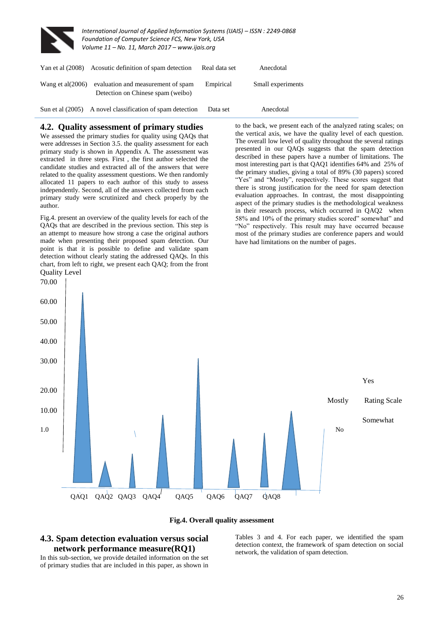

70.00

*International Journal of Applied Information Systems (IJAIS) – ISSN : 2249-0868 Foundation of Computer Science FCS, New York, USA Volume 11 – No. 11, March 2017 – www.ijais.org*

| Yan et al $(2008)$  | Acosutic definition of spam detection                                   | Real data set | Anecdotal         |  |
|---------------------|-------------------------------------------------------------------------|---------------|-------------------|--|
| Wang et al $(2006)$ | evaluation and measurement of spam<br>Detection on Chinese spam (weibo) | Empirical     | Small experiments |  |
|                     | Sun et al (2005) A novel classification of spam detection               | Data set      | Anecdotal         |  |

#### **4.2. Quality assessment of primary studies**

We assessed the primary studies for quality using OAOs that were addresses in Section 3.5. the quality assessment for each primary study is shown in Appendix A. The assessment was extracted in three steps. First , the first author selected the candidate studies and extracted all of the answers that were related to the quality assessment questions. We then randomly allocated 11 papers to each author of this study to assess independently. Second, all of the answers collected from each primary study were scrutinized and check properly by the author.

Fig.4. present an overview of the quality levels for each of the QAQs that are described in the previous section. This step is an attempt to measure how strong a case the original authors made when presenting their proposed spam detection. Our point is that it is possible to define and validate spam detection without clearly stating the addressed QAQs. In this chart, from left to right, we present each QAQ; from the front Quality Level

to the back, we present each of the analyzed rating scales; on the vertical axis, we have the quality level of each question. The overall low level of quality throughout the several ratings presented in our QAQs suggests that the spam detection described in these papers have a number of limitations. The most interesting part is that QAQ1 identifies 64% and 25% of the primary studies, giving a total of 89% (30 papers) scored "Yes" and "Mostly", respectively. These scores suggest that there is strong justification for the need for spam detection evaluation approaches. In contrast, the most disappointing aspect of the primary studies is the methodological weakness in their research process, which occurred in QAQ2 when 58% and 10% of the primary studies scored" somewhat" and "No" respectively. This result may have occurred because most of the primary studies are conference papers and would have had limitations on the number of pages.



#### **Fig.4. Overall quality assessment**

# **4.3. Spam detection evaluation versus social network performance measure(RQ1)**

In this sub-section, we provide detailed information on the set of primary studies that are included in this paper, as shown in

Tables 3 and 4. For each paper, we identified the spam detection context, the framework of spam detection on social network, the validation of spam detection.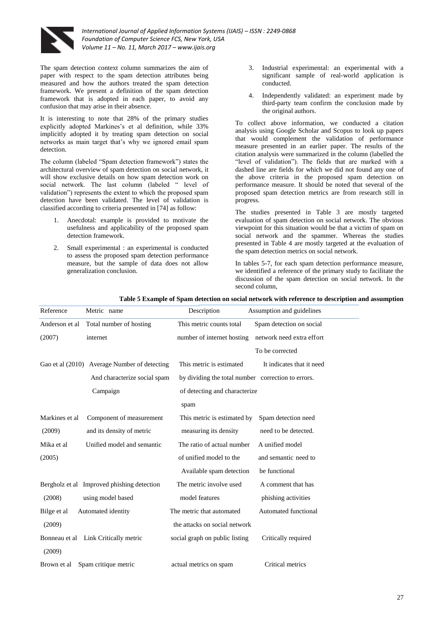

The spam detection context column summarizes the aim of paper with respect to the spam detection attributes being measured and how the authors treated the spam detection framework. We present a definition of the spam detection framework that is adopted in each paper, to avoid any confusion that may arise in their absence.

It is interesting to note that 28% of the primary studies explicitly adopted Markines's et al definition, while 33% implicitly adopted it by treating spam detection on social networks as main target that's why we ignored email spam detection.

The column (labeled "Spam detection framework") states the architectural overview of spam detection on social network, it will show exclusive details on how spam detection work on social network. The last column (labeled " level of validation") represents the extent to which the proposed spam detection have been validated. The level of validation is classified according to criteria presented in [74] as follow:

- 1. Anecdotal: example is provided to motivate the usefulness and applicability of the proposed spam detection framework.
- 2. Small experimental : an experimental is conducted to assess the proposed spam detection performance measure, but the sample of data does not allow generalization conclusion.
- 3. Industrial experimental: an experimental with a significant sample of real-world application is conducted.
- 4. Independently validated: an experiment made by third-party team confirm the conclusion made by the original authors.

To collect above information, we conducted a citation analysis using Google Scholar and Scopus to look up papers that would complement the validation of performance measure presented in an earlier paper. The results of the citation analysis were summarized in the column (labelled the "level of validation"). The fields that are marked with a dashed line are fields for which we did not found any one of the above criteria in the proposed spam detection on performance measure. It should be noted that several of the proposed spam detection metrics are from research still in progress.

The studies presented in Table 3 are mostly targeted evaluation of spam detection on social network. The obvious viewpoint for this situation would be that a victim of spam on social network and the spammer. Whereas the studies presented in Table 4 are mostly targeted at the evaluation of the spam detection metrics on social network.

In tables 5-7, for each spam detection performance measure, we identified a reference of the primary study to facilitate the discussion of the spam detection on social network. In the second column,

#### **Table 5 Example of Spam detection on social network with reference to description and assumption**

| Reference      | Metric name                                  | Description                                        | Assumption and guidelines |
|----------------|----------------------------------------------|----------------------------------------------------|---------------------------|
| Anderson et al | Total number of hosting                      | This metric counts total                           | Spam detection on social  |
| (2007)         | internet                                     | number of internet hosting                         | network need extra effort |
|                |                                              |                                                    | To be corrected           |
|                | Gao et al (2010) Average Number of detecting | This metric is estimated                           | It indicates that it need |
|                | And characterize social spam                 | by dividing the total number correction to errors. |                           |
|                | Campaign                                     | of detecting and characterize                      |                           |
|                |                                              | spam                                               |                           |
| Markines et al | Component of measurement                     | This metric is estimated by                        | Spam detection need       |
| (2009)         | and its density of metric                    | measuring its density                              | need to be detected.      |
| Mika et al     | Unified model and semantic                   | The ratio of actual number                         | A unified model           |
| (2005)         |                                              | of unified model to the                            | and semantic need to      |
|                |                                              | Available spam detection                           | be functional             |
|                | Bergholz et al Improved phishing detection   | The metric involve used                            | A comment that has        |
| (2008)         | using model based                            | model features                                     | phishing activities       |
| Bilge et al    | Automated identity                           | The metric that automated                          | Automated functional      |
| (2009)         |                                              | the attacks on social network                      |                           |
|                | Bonneau et al Link Critically metric         | social graph on public listing                     | Critically required       |
| (2009)         |                                              |                                                    |                           |
| Brown et al    | Spam critique metric                         | actual metrics on spam                             | Critical metrics          |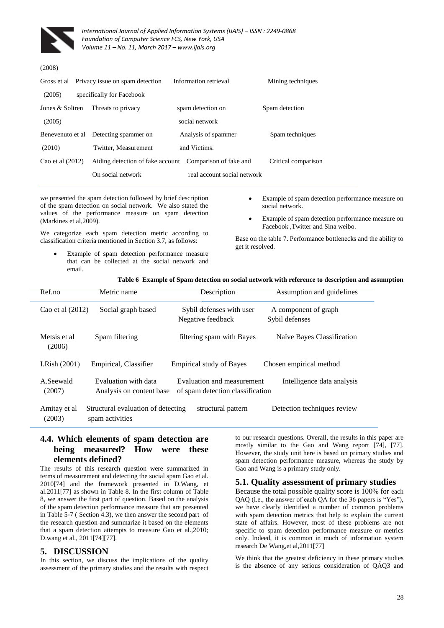

#### (2008)

| Gross et al      | Privacy issue on spam detection                         | Information retrieval       | Mining techniques   |
|------------------|---------------------------------------------------------|-----------------------------|---------------------|
| (2005)           | specifically for Facebook                               |                             |                     |
| Jones & Soltren  | Threats to privacy                                      | spam detection on           | Spam detection      |
| (2005)           |                                                         | social network              |                     |
| Benevenuto et al | Detecting spammer on                                    | Analysis of spammer         | Spam techniques     |
| (2010)           | Twitter, Measurement                                    | and Victims.                |                     |
| Cao et al (2012) | Aiding detection of fake account Comparison of fake and |                             | Critical comparison |
|                  | On social network                                       | real account social network |                     |
|                  |                                                         |                             |                     |

we presented the spam detection followed by brief description of the spam detection on social network. We also stated the values of the performance measure on spam detection (Markines et al,2009).

We categorize each spam detection metric according to classification criteria mentioned in Section 3.7, as follows:

- Example of spam detection performance measure that can be collected at the social network and email.
- Example of spam detection performance measure on social network.
- Example of spam detection performance measure on Facebook ,Twitter and Sina weibo.

Base on the table 7. Performance bottlenecks and the ability to get it resolved.

#### **Table 6 Example of Spam detection on social network with reference to description and assumption**

| Ref.no                 | Metric name                                           | Description                                                    | Assumption and guidelines              |  |  |  |
|------------------------|-------------------------------------------------------|----------------------------------------------------------------|----------------------------------------|--|--|--|
| Cao et al $(2012)$     | Social graph based                                    | Sybil defenses with user<br>Negative feedback                  | A component of graph<br>Sybil defenses |  |  |  |
| Metsis et al<br>(2006) | Spam filtering                                        | filtering spam with Bayes                                      | Naïve Bayes Classification             |  |  |  |
| I.Rish $(2001)$        | Empirical, Classifier                                 | <b>Empirical study of Bayes</b>                                | Chosen empirical method                |  |  |  |
| A.Seewald<br>(2007)    | Evaluation with data<br>Analysis on content base      | Evaluation and measurement<br>of spam detection classification | Intelligence data analysis             |  |  |  |
| Amitay et al<br>(2003) | Structural evaluation of detecting<br>spam activities | structural pattern                                             | Detection techniques review            |  |  |  |

# **4.4. Which elements of spam detection are being measured? How were these elements defined?**

The results of this research question were summarized in terms of measurement and detecting the social spam Gao et al. 2010[74] and the framework presented in D.Wang, et al.2011[77] as shown in Table 8. In the first column of Table 8, we answer the first part of question. Based on the analysis of the spam detection performance measure that are presented in Table 5-7 ( Section 4.3), we then answer the second part of the research question and summarize it based on the elements that a spam detection attempts to measure Gao et al.,2010; D.wang et al., 2011[74][77].

#### **5. DISCUSSION**

In this section, we discuss the implications of the quality assessment of the primary studies and the results with respect to our research questions. Overall, the results in this paper are mostly similar to the Gao and Wang report [74], [77]. However, the study unit here is based on primary studies and spam detection performance measure, whereas the study by Gao and Wang is a primary study only.

#### **5.1. Quality assessment of primary studies**

Because the total possible quality score is 100% for each QAQ (i.e., the answer of each QA for the 36 papers is "Yes"), we have clearly identified a number of common problems with spam detection metrics that help to explain the current state of affairs. However, most of these problems are not specific to spam detection performance measure or metrics only. Indeed, it is common in much of information system research De Wang,et al,2011[77]

We think that the greatest deficiency in these primary studies is the absence of any serious consideration of QAQ3 and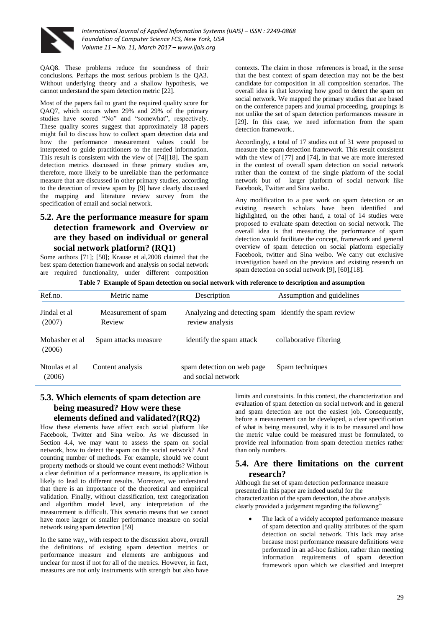

QAQ8. These problems reduce the soundness of their conclusions. Perhaps the most serious problem is the QA3. Without underlying theory and a shallow hypothesis, we cannot understand the spam detection metric [22].

Most of the papers fail to grant the required quality score for QAQ7, which occurs when 29% and 29% of the primary studies have scored "No" and "somewhat", respectively. These quality scores suggest that approximately 18 papers might fail to discuss how to collect spam detection data and how the performance measurement values could be interpreted to guide practitioners to the needed information. This result is consistent with the view of [74][18]. The spam detection metrics discussed in these primary studies are, therefore, more likely to be unreliable than the performance measure that are discussed in other primary studies, according to the detection of review spam by [9] have clearly discussed the mapping and literature review survey from the specification of email and social network.

# **5.2. Are the performance measure for spam detection framework and Overview or are they based on individual or general social network platform? (RQ1)**

Some authors [71]; [50]; Krause et al,2008 claimed that the best spam detection framework and analysis on social network are required functionality, under different composition

contexts. The claim in those references is broad, in the sense that the best context of spam detection may not be the best candidate for composition in all composition scenarios. The overall idea is that knowing how good to detect the spam on social network. We mapped the primary studies that are based on the conference papers and journal proceeding, groupings is not unlike the set of spam detection performances measure in [29]. In this case, we need information from the spam detection framework..

Accordingly, a total of 17 studies out of 31 were proposed to measure the spam detection framework. This result consistent with the view of [77] and [74], in that we are more interested in the context of overall spam detection on social network rather than the context of the single platform of the social network but of larger platform of social network like Facebook, Twitter and Sina weibo.

Any modification to a past work on spam detection or an existing research scholars have been identified and highlighted, on the other hand, a total of 14 studies were proposed to evaluate spam detection on social network. The overall idea is that measuring the performance of spam detection would facilitate the concept, framework and general overview of spam detection on social platform especially Facebook, twitter and Sina weibo. We carry out exclusive investigation based on the previous and existing research on spam detection on social network [9], [60],[18].

**Table 7 Example of Spam detection on social network with reference to description and assumption** 

| Ref.no.                  | Metric name                   | Description                                                              | Assumption and guidelines |  |  |  |  |
|--------------------------|-------------------------------|--------------------------------------------------------------------------|---------------------------|--|--|--|--|
| Jindal et al<br>(2007)   | Measurement of spam<br>Review | Analyzing and detecting spam identify the spam review<br>review analysis |                           |  |  |  |  |
| Mobasher et al<br>(2006) | Spam attacks measure          | identify the spam attack                                                 | collaborative filtering   |  |  |  |  |
| Ntoulas et al<br>(2006)  | Content analysis              | spam detection on web page<br>and social network                         | Spam techniques           |  |  |  |  |

# **5.3. Which elements of spam detection are being measured? How were these elements defined and validated?(RQ2)**

How these elements have affect each social platform like Facebook, Twitter and Sina weibo. As we discussed in Section 4.4, we may want to assess the spam on social network, how to detect the spam on the social network? And counting number of methods. For example, should we count property methods or should we count event methods? Without a clear definition of a performance measure, its application is likely to lead to different results. Moreover, we understand that there is an importance of the theoretical and empirical validation. Finally, without classification, text categorization and algorithm model level, any interpretation of the measurement is difficult. This scenario means that we cannot have more larger or smaller performance measure on social network using spam detection [59]

In the same way,, with respect to the discussion above, overall the definitions of existing spam detection metrics or performance measure and elements are ambiguous and unclear for most if not for all of the metrics. However, in fact, measures are not only instruments with strength but also have

limits and constraints. In this context, the characterization and evaluation of spam detection on social network and in general and spam detection are not the easiest job. Consequently, before a measurement can be developed, a clear specification of what is being measured, why it is to be measured and how the metric value could be measured must be formulated, to provide real information from spam detection metrics rather than only numbers.

# **5.4. Are there limitations on the current research?**

Although the set of spam detection performance measure presented in this paper are indeed useful for the characterization of the spam detection, the above analysis clearly provided a judgement regarding the following"

 The lack of a widely accepted performance measure of spam detection and quality attributes of the spam detection on social network. This lack may arise because most performance measure definitions were performed in an ad-hoc fashion, rather than meeting information requirements of spam detection framework upon which we classified and interpret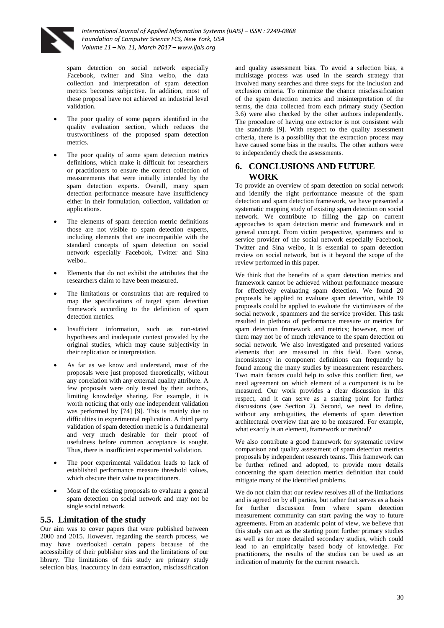

spam detection on social network especially Facebook, twitter and Sina weibo, the data collection and interpretation of spam detection metrics becomes subjective. In addition, most of these proposal have not achieved an industrial level validation.

- The poor quality of some papers identified in the quality evaluation section, which reduces the trustworthiness of the proposed spam detection metrics.
- The poor quality of some spam detection metrics definitions, which make it difficult for researchers or practitioners to ensure the correct collection of measurements that were initially intended by the spam detection experts. Overall, many spam detection performance measure have insufficiency either in their formulation, collection, validation or applications.
- The elements of spam detection metric definitions those are not visible to spam detection experts, including elements that are incompatible with the standard concepts of spam detection on social network especially Facebook, Twitter and Sina weibo..
- Elements that do not exhibit the attributes that the researchers claim to have been measured.
- The limitations or constraints that are required to map the specifications of target spam detection framework according to the definition of spam detection metrics.
- Insufficient information, such as non-stated hypotheses and inadequate context provided by the original studies, which may cause subjectivity in their replication or interpretation.
- As far as we know and understand, most of the proposals were just proposed theoretically, without any correlation with any external quality attribute. A few proposals were only tested by their authors, limiting knowledge sharing. For example, it is worth noticing that only one independent validation was performed by [74] [9]. This is mainly due to difficulties in experimental replication. A third party validation of spam detection metric is a fundamental and very much desirable for their proof of usefulness before common acceptance is sought. Thus, there is insufficient experimental validation.
- The poor experimental validation leads to lack of established performance measure threshold values, which obscure their value to practitioners.
- Most of the existing proposals to evaluate a general spam detection on social network and may not be single social network.

# **5.5. Limitation of the study**

Our aim was to cover papers that were published between 2000 and 2015. However, regarding the search process, we may have overlooked certain papers because of the accessibility of their publisher sites and the limitations of our library. The limitations of this study are primary study selection bias, inaccuracy in data extraction, misclassification

and quality assessment bias. To avoid a selection bias, a multistage process was used in the search strategy that involved many searches and three steps for the inclusion and exclusion criteria. To minimize the chance misclassification of the spam detection metrics and misinterpretation of the terms, the data collected from each primary study (Section 3.6) were also checked by the other authors independently. The procedure of having one extractor is not consistent with the standards [9]. With respect to the quality assessment criteria, there is a possibility that the extraction process may have caused some bias in the results. The other authors were to independently check the assessments.

## **6. CONCLUSIONS AND FUTURE WORK**

To provide an overview of spam detection on social network and identify the right performance measure of the spam detection and spam detection framework, we have presented a systematic mapping study of existing spam detection on social network. We contribute to filling the gap on current approaches to spam detection metric and framework and in general concept. From victim perspective, spammers and to service provider of the social network especially Facebook, Twitter and Sina weibo, it is essential to spam detection review on social network, but is it beyond the scope of the review performed in this paper.

We think that the benefits of a spam detection metrics and framework cannot be achieved without performance measure for effectively evaluating spam detection. We found 20 proposals be applied to evaluate spam detection, while 19 proposals could be applied to evaluate the victim/users of the social network , spammers and the service provider. This task resulted in plethora of performance measure or metrics for spam detection framework and metrics; however, most of them may not be of much relevance to the spam detection on social network. We also investigated and presented various elements that are measured in this field. Even worse, inconsistency in component definitions can frequently be found among the many studies by measurement researchers. Two main factors could help to solve this conflict: first, we need agreement on which element of a component is to be measured. Our work provides a clear discussion in this respect, and it can serve as a starting point for further discussions (see Section 2). Second, we need to define, without any ambiguities, the elements of spam detection architectural overview that are to be measured. For example, what exactly is an element, framework or method?

We also contribute a good framework for systematic review comparison and quality assessment of spam detection metrics proposals by independent research teams. This framework can be further refined and adopted, to provide more details concerning the spam detection metrics definition that could mitigate many of the identified problems.

We do not claim that our review resolves all of the limitations and is agreed on by all parties, but rather that serves as a basis for further discussion from where spam detection measurement community can start paving the way to future agreements. From an academic point of view, we believe that this study can act as the starting point further primary studies as well as for more detailed secondary studies, which could lead to an empirically based body of knowledge. For practitioners, the results of the studies can be used as an indication of maturity for the current research.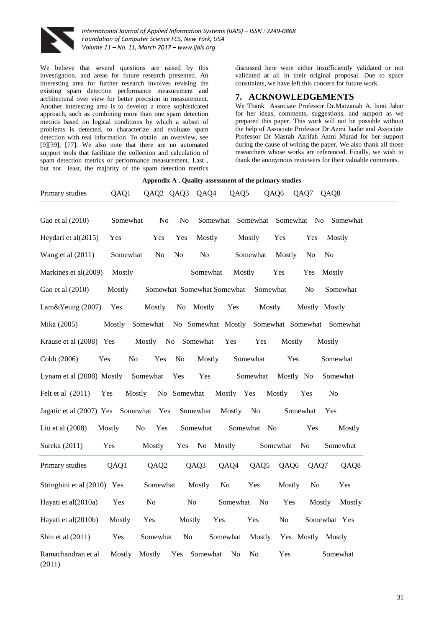

We believe that several questions are raised by this investigation, and areas for future research presented. An interesting area for further research involves revising the existing spam detection performance measurement and architectural over view for better precision in measurement. Another interesting area is to develop a more sophisticated approach, such as combining more than one spam detection metrics based on logical conditions by which a subset of problems is detected, to characterize and evaluate spam detection with real information. To obtain an overview, see [9][39], [77]. We also note that there are no automated support tools that facilitate the collection and calculation of spam detection metrics or performance measurement. Last , but not least, the majority of the spam detection metrics

discussed here were either insufficiently validated or not validated at all in their original proposal. Due to space constraints, we have left this concern for future work.

## **7. ACKNOWLEDGEMENTS**

We Thank Associate Professor Dr.Marzanah A. binti Jabar for her ideas, comments, suggestions, and support as we prepared this paper. This work will not be possible without the help of Associate Professor Dr.Azmi Jaafar and Associate Professor Dr Masrah Azrifah Azmi Murad for her support during the cause of writing the paper. We also thank all those researchers whose works are referenced. Finally, we wish to thank the anonymous reviewers for their valuable comments.

|                              |               |                  |                |                            |                                  | Appendix A . Quality assessment of the primary studies |                          |                            |
|------------------------------|---------------|------------------|----------------|----------------------------|----------------------------------|--------------------------------------------------------|--------------------------|----------------------------|
| Primary studies              | QAQ1          |                  | QAQ2 QAQ3      | QAQ4                       | QAQ5                             | QAQ6                                                   | QAQ7                     | QAQ8                       |
| Gao et al (2010)             | Somewhat      | N <sub>o</sub>   | No             | Somewhat                   | Somewhat                         |                                                        | Somewhat No              | Somewhat                   |
| Heydari et al(2015)          | Yes           | Yes              | Yes            | Mostly                     | Mostly                           | Yes                                                    | Yes                      | Mostly                     |
| Wang et al $(2011)$          | Somewhat      | N <sub>0</sub>   | No             | No                         | Somewhat                         | Mostly                                                 | N <sub>0</sub>           | N <sub>0</sub>             |
| Markines et al(2009)         | Mostly        |                  |                | Somewhat                   | Mostly                           | Yes                                                    | Yes                      | Mostly                     |
| Gao et al (2010)             | Mostly        |                  |                | Somewhat Somewhat Somewhat |                                  | Somewhat                                               | No                       | Somewhat                   |
| Lam&Yeung (2007)             | Yes           | Mostly           | No             | Mostly                     | Yes                              | Mostly                                                 |                          | Mostly Mostly              |
| Mika (2005)                  | Mostly        | Somewhat         |                | No Somewhat Mostly         |                                  |                                                        |                          | Somewhat Somewhat Somewhat |
| Krause et al (2008) Yes      |               | Mostly           | No Somewhat    |                            | Yes                              | Yes                                                    | Mostly                   | Mostly                     |
| Cobb (2006)<br>Yes           | No            | Yes              | N <sub>o</sub> | Mostly                     | Somewhat                         |                                                        | Yes                      | Somewhat                   |
| Lynam et al (2008) Mostly    |               | Somewhat         | Yes            | Yes                        | Somewhat                         |                                                        | Mostly No                | Somewhat                   |
| Felt et al (2011)            | Mostly<br>Yes |                  | No Somewhat    |                            | Mostly Yes                       | Mostly                                                 | Yes                      | No                         |
| Jagatic et al (2007) Yes     |               | Somewhat Yes     |                | Somewhat                   | Mostly                           | No                                                     | Somewhat                 | Yes                        |
| Liu et al (2008)             | Mostly        | No<br>Yes        |                | Somewhat                   | Somewhat No                      |                                                        | Yes                      | Mostly                     |
| Sureka (2011)                | Yes           | Mostly           | Yes            | N <sub>0</sub>             | Mostly                           | Somewhat                                               | N <sub>0</sub>           | Somewhat                   |
| Primary studies              | QAQ1          | QAQ <sub>2</sub> |                | QAQ3                       | QAQ4                             | QAQ5                                                   | QAQ6<br>QAQ7             | QAQ8                       |
| Stringhini et al (2010) Yes  |               | Somewhat         |                | Mostly                     | No<br>Yes                        |                                                        | Mostly<br>N <sub>o</sub> | Yes                        |
| Hayati et al(2010a)          | Yes           | No               | N <sub>0</sub> |                            | Somewhat                         | N <sub>0</sub>                                         | Yes                      | Mostly<br>Mostly           |
| Hayati et al(2010b)          | Mostly        | Yes              | Mostly         | Yes                        | Yes                              | No                                                     |                          | Somewhat Yes               |
| Shin et al $(2011)$          | Yes           | Somewhat         | No             |                            | Somewhat                         | Mostly                                                 | Yes Mostly               | Mostly                     |
| Ramachandran et al<br>(2011) | Mostly        | Mostly           | Yes            | Somewhat                   | N <sub>0</sub><br>N <sub>0</sub> | Yes                                                    |                          | Somewhat                   |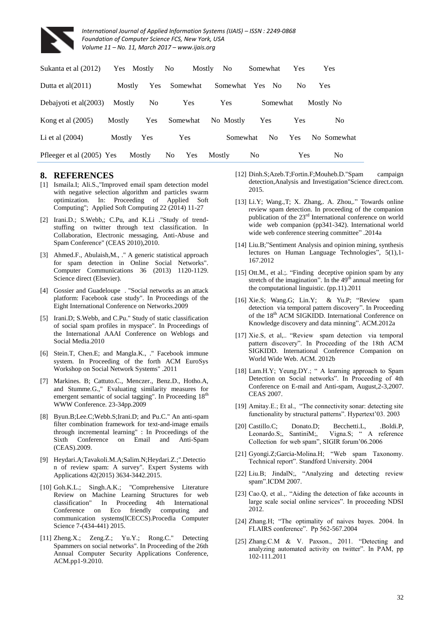

| Sukanta et al (2012)      |               | Yes Mostly     | N <sub>0</sub> | Mostly   | No.        | Somewhat       |                | Yes            | <b>Yes</b>     |
|---------------------------|---------------|----------------|----------------|----------|------------|----------------|----------------|----------------|----------------|
| Dutta et al $(2011)$      | Mostly        | <b>Yes</b>     |                | Somewhat | Somewhat   | Yes            | - No           | N <sub>0</sub> | <b>Yes</b>     |
| Debajyoti et al(2003)     | Mostly        | N <sub>0</sub> |                | Yes      | <b>Yes</b> |                | Somewhat       |                | Mostly No      |
| Kong et al $(2005)$       | <b>Mostly</b> | Yes            | Somewhat       |          | No Mostly  | <b>Yes</b>     |                | <b>Yes</b>     | No.            |
| Li et al $(2004)$         | Mostly        | Yes            | Yes            |          | Somewhat   |                | N <sub>0</sub> | <b>Yes</b>     | No Somewhat    |
| Pfleeger et al (2005) Yes |               | Mostly         | N <sub>0</sub> | Yes      | Mostly     | N <sub>0</sub> |                | <b>Yes</b>     | N <sub>0</sub> |

# **8. REFERENCES**

- [1] Ismaila.I; Ali.S.,"Improved email spam detection model with negative selection algorithm and particles swarm optimization. In: Proceeding of Applied Soft Computing"; Applied Soft Computing 22 (2014) 11-27
- [2] Irani.D.; S.Webb,; C.Pu, and K.Li ."Study of trendstuffing on twitter through text classification. In Collaboration, Electronic messaging, Anti-Abuse and Spam Conference" (CEAS 2010),2010.
- [3] Ahmed.F., Abulaish,M., ." A generic statistical approach for spam detection in Online Social Networks". Computer Communications 36 (2013) 1120-1129. Science direct (Elsevier).
- [4] Gossier and Guadeloupe . "Social networks as an attack platform: Facebook case study". In Proceedings of the Eight International Conference on Networks.2009
- [5] Irani.D; S.Webb, and C.Pu." Study of static classification of social spam profiles in myspace". In Proceedings of the International AAAI Conference on Weblogs and Social Media.2010
- [6] Stein.T, Chen.E; and Mangla.K., ." Facebook immune system. In Proceeding of the forth ACM EuroSys Workshop on Social Network Systems" .2011
- [7] Markines. B; Cattuto.C., Menczer., Benz.D., Hotho.A, and Stumme.G.," Evaluating similarity measures for emergent semantic of social tagging". In Proceeding 18<sup>th</sup> WWW Conference. 23-34pp.2009
- [8] Byun.B;Lee.C;Webb.S;Irani.D; and Pu.C." An anti-spam filter combination framework for text-and-image emails through incremental learning" : In Proceedings of the Sixth Conference on Email and Anti-Spam (CEAS).2009.
- [9] Heydari.A;Tavakoli.M.A;Salim.N;Heydari.Z.;".Detectio n of review spam: A survey". Expert Systems with Applications 42(2015) 3634-3442.2015.
- [10] Goh.K.L.; Singh.A.K.; "Comprehensive Literature Review on Machine Learning Structures for web classification" In Proceeding 4th International Conference on Eco friendly computing and communication systems(ICECCS).Procedia Computer Science 7-(434-441) 2015.
- [11] Zheng.X.; Zeng.Z.; Yu.Y.; Rong.C." Detecting Spammers on social networks". In Proceeding of the 26th Annual Computer Security Applications Conference, ACM.pp1-9.2010.
- [12] Dinh.S;Azeb.T;Fortin.F;Mouheb.D."Spam campaign detection,Analysis and Investigation"Science direct.com. 2015.
- [13] Li.Y; Wang.,T; X. Zhang,. A. Zhou,." Towards online review spam detection. In proceeding of the companion publication of the  $23<sup>rd</sup>$  International conference on world wide web companion (pp341-342). International world wide web conference steering committee" .2014a
- [14] Liu.B;"Sentiment Analysis and opinion mining, synthesis lectures on Human Language Technologies", 5(1),1- 167.2012
- [15] Ott.M., et al.;. "Finding deceptive opinion spam by any stretch of the imagination". In the  $49<sup>th</sup>$  annual meeting for the computational linguistic. (pp.11).2011
- [16] Xie.S; Wang.G; Lin.Y; & Yu.P; "Review spam detection via temporal pattern discovery". In Proceeding of the 18<sup>th</sup> ACM SIGKIDD. International Conference on Knowledge discovery and data minning". ACM.2012a
- [17] Xie.S, et al,.. "Review spam detection via temporal pattern discovery". In Proceeding of the 18th ACM SIGKIDD. International Conference Companion on World Wide Web. ACM. 2012b
- [18] Lam.H.Y; Yeung.DY.; " A learning approach to Spam Detection on Social networks". In Proceeding of 4th Conference on E-mail and Anti-spam, August,2-3,2007. CEAS 2007.
- [19] Amitay.E.; Et al., "The connectivity sonar: detecting site functionality by structural patterns". Hypertext'03. 2003
- [20] Castillo.C; Donato.D; Becchetti.L, .Boldi.P, Leonardo.S;, SantiniM;, Vigna.S; " A reference Collection for web spam", SIGIR forum'06.2006
- [21] Gyongi.Z;Garcia-Molina.H; "Web spam Taxonomy. Technical report". Standford University. 2004
- [22] Liu.B; JindalN;, "Analyzing and detecting review spam".ICDM 2007.
- [23] Cao.Q, et al.,. "Aiding the detection of fake accounts in large scale social online services". In proceeding NDSI 2012.
- [24] Zhang.H; "The optimality of naives bayes. 2004. In FLAIRS conference". Pp 562-567.2004
- [25] Zhang.C.M & V. Paxson., 2011. "Detecting and analyzing automated activity on twitter". In PAM, pp 102-111.2011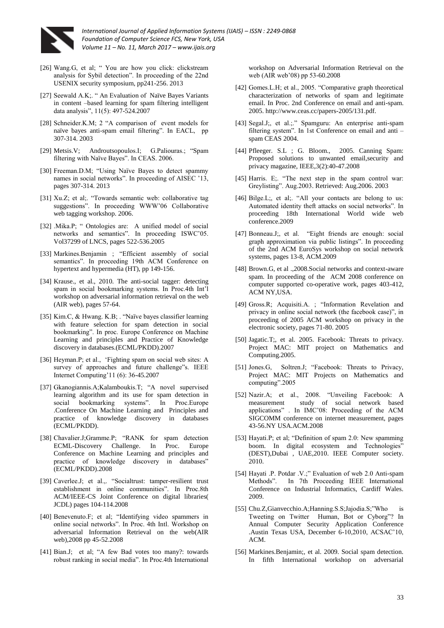

- [26] Wang.G, et al; " You are how you click: clickstream analysis for Sybil detection". In proceeding of the 22nd USENIX security symposium, pp241-256. 2013
- [27] Seewald A.K;. " An Evaluation of Naïve Bayes Variants in content –based learning for spam filtering intelligent data analysis", 11(5): 497-524.2007
- [28] Schneider.K.M; 2 "A comparison of event models for naïve bayes anti-spam email filtering". In EACL, pp 307-314. 2003
- [29] Metsis.V; Androutsopoulos.I; G.Paliouras.; "Spam filtering with Naïve Bayes". In CEAS. 2006.
- [30] Freeman.D.M; "Using Naïve Bayes to detect spammy names in social networks". In proceeding of AISEC '13, pages 307-314. 2013
- [31] Xu.Z; et al;. "Towards semantic web: collaborative tag suggestions". In proceeding WWW'06 Collaborative web tagging workshop. 2006.
- [32] .Mika.P; " Ontologies are: A unified model of social networks and semantics". In proceeding ISWC'05. Vol37299 of LNCS, pages 522-536.2005
- [33] Markines.Benjamin; "Efficient assembly of social semantics". In proceeding 19th ACM Conference on hypertext and hypermedia (HT), pp 149-156.
- [34] Krause., et al., 2010. The anti-social tagger: detecting spam in social bookmarking systems. In Proc.4th Int'l workshop on adversarial information retrieval on the web (AIR web), pages 57-64.
- [35] Kim.C, & Hwang. K.B; . "Naïve bayes classifier learning with feature selection for spam detection in social bookmarking". In proc. Europe Conference on Machine Learning and principles and Practice of Knowledge discovery in databases.(ECML/PKDD).2007
- [36] Heyman.P; et al., 'Fighting spam on social web sites: A survey of approaches and future challenge"s. IEEE Internet Computing'11 (6): 36-45.2007
- [37] Gkanogiannis.A;Kalamboukis.T; "A novel supervised learning algorithm and its use for spam detection in social bookmarking systems". In Proc.Europe .Conference On Machine Learning and Principles and practice of knowledge discovery in databases (ECML/PKDD).
- [38] Chavalier.J;Gramme.P; "RANK for spam detection ECML-Discovery Challenge. In Proc. Europe Conference on Machine Learning and principles and practice of knowledge discovery in databases" (ECML/PKDD).2008
- [39] Caverlee.J; et al.,. "Socialtrust: tamper-resilient trust establishment in online communities". In Proc.8th ACM/IEEE-CS Joint Conference on digital libraries( JCDL) pages 104-114.2008
- [40] Benevenuto.F; et al; "Identifying video spammers in online social networks". In Proc. 4th Intl. Workshop on adversarial Information Retrieval on the web(AIR web),2008 pp 45-52.2008
- [41] Bian.J; et al; "A few Bad votes too many?: towards robust ranking in social media". In Proc.4th International

workshop on Adversarial Information Retrieval on the web (AIR web'08) pp 53-60.2008

- [42] Gomes.L.H; et al., 2005. "Comparative graph theoretical characterization of networks of spam and legitimate email. In Proc. 2nd Conference on email and anti-spam. 2005[. http://www.ceas.cc/papers-2005/131.pdf.](http://www.ceas.cc/papers-2005/131.pdf)
- [43] Segal.J;, et al.;." Spamguru: An enterprise anti-spam filtering system". In 1st Conference on email and anti – spam CEAS 2004.
- [44] Pfleeger. S.L ; G. Bloom., 2005. Canning Spam: Proposed solutions to unwanted email,security and privacy magazine, IEEE,3(2):40-47.2008
- [45] Harris. E;. "The next step in the spam control war: Greylisting". Aug.2003. Retrieved: Aug.2006. 2003
- [46] Bilge.L;, et al;. "All your contacts are belong to us: Automated identity theft attacks on social networks". In proceeding 18th International World wide web conference.2009
- [47] Bonneau.J;, et al. "Eight friends are enough: social graph approximation via public listings". In proceeding of the 2nd ACM EuroSys workshop on social network systems, pages 13-8, ACM.2009
- [48] Brown.G, et al .,2008.Social networks and context-aware spam. In proceeding of the ACM 2008 conference on computer supported co-operative work, pages 403-412, ACM NY,USA.
- [49] Gross.R; Acquisiti.A. ; "Information Revelation and privacy in online social network (the facebook case)", in proceeding of 2005 ACM workshop on privacy in the electronic society, pages 71-80. 2005
- [50] Jagatic.T;, et al. 2005. Facebook: Threats to privacy. Project MAC: MIT project on Mathematics and Computing.2005.
- [51] Jones.G, Soltren.J; "Facebook: Threats to Privacy, Project MAC: MIT Projects on Mathematics and computing".2005
- [52] Nazir.A; et al., 2008. "Unveiling Facebook: A measurement study of social network based applications" . In IMC'08: Proceeding of the ACM SIGCOMM conference on internet measurement, pages 43-56.NY USA.ACM.2008
- [53] Hayati.P; et al; "Definition of spam 2.0: New spamming boom. In digital ecosystem and Technologies" (DEST),Dubai , UAE,2010. IEEE Computer society. 2010.
- [54] Hayati .P. Potdar .V.;" Evaluation of web 2.0 Anti-spam Methods". In 7th Proceeding IEEE International Conference on Industrial Informatics, Cardiff Wales. 2009.
- [55] Chu.Z,Gianvecchio.A;Hanning.S.S;Jajodia.S;"Who is Tweeting on Twitter Human, Bot or Cyborg"? In Annual Computer Security Application Conference .Austin Texas USA, December 6-10,2010, ACSAC'10, ACM.
- [56] Markines.Benjamin;, et al. 2009. Social spam detection. In fifth International workshop on adversarial